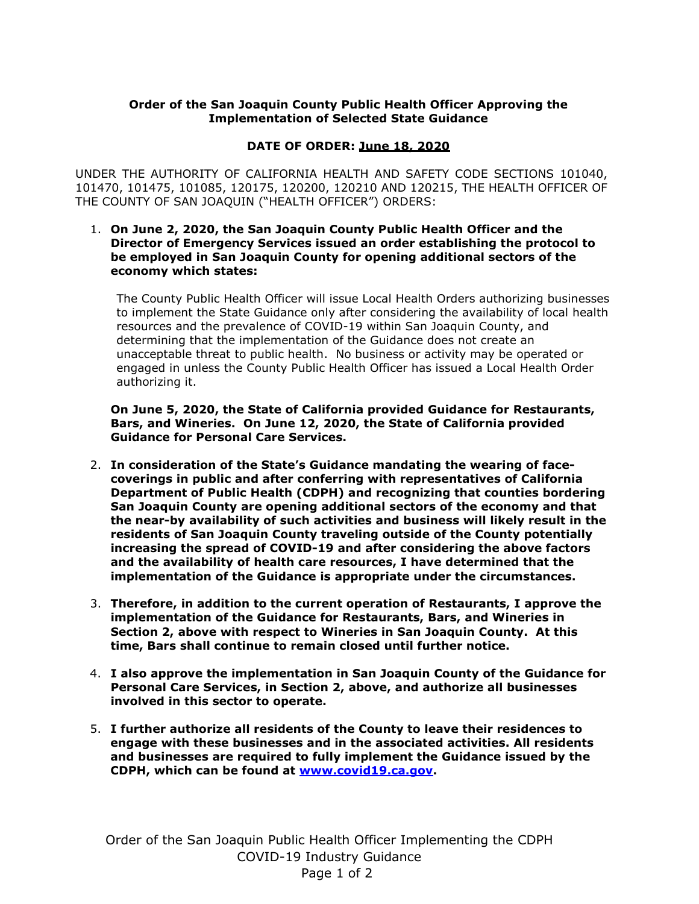## **Order of the San Joaquin County Public Health Officer Approving the Implementation of Selected State Guidance**

## **DATE OF ORDER: June 18, 2020**

UNDER THE AUTHORITY OF CALIFORNIA HEALTH AND SAFETY CODE SECTIONS 101040, 101470, 101475, 101085, 120175, 120200, 120210 AND 120215, THE HEALTH OFFICER OF THE COUNTY OF SAN JOAQUIN ("HEALTH OFFICER") ORDERS:

## 1. **On June 2, 2020, the San Joaquin County Public Health Officer and the Director of Emergency Services issued an order establishing the protocol to be employed in San Joaquin County for opening additional sectors of the economy which states:**

The County Public Health Officer will issue Local Health Orders authorizing businesses to implement the State Guidance only after considering the availability of local health resources and the prevalence of COVID-19 within San Joaquin County, and determining that the implementation of the Guidance does not create an unacceptable threat to public health. No business or activity may be operated or engaged in unless the County Public Health Officer has issued a Local Health Order authorizing it.

**On June 5, 2020, the State of California provided Guidance for Restaurants, Bars, and Wineries. On June 12, 2020, the State of California provided Guidance for Personal Care Services.** 

- 2. **In consideration of the State's Guidance mandating the wearing of facecoverings in public and after conferring with representatives of California Department of Public Health (CDPH) and recognizing that counties bordering San Joaquin County are opening additional sectors of the economy and that the near-by availability of such activities and business will likely result in the residents of San Joaquin County traveling outside of the County potentially increasing the spread of COVID-19 and after considering the above factors and the availability of health care resources, I have determined that the implementation of the Guidance is appropriate under the circumstances.**
- 3. **Therefore, in addition to the current operation of Restaurants, I approve the implementation of the Guidance for Restaurants, Bars, and Wineries in Section 2, above with respect to Wineries in San Joaquin County. At this time, Bars shall continue to remain closed until further notice.**
- 4. **I also approve the implementation in San Joaquin County of the Guidance for Personal Care Services, in Section 2, above, and authorize all businesses involved in this sector to operate.**
- 5. **I further authorize all residents of the County to leave their residences to engage with these businesses and in the associated activities. All residents and businesses are required to fully implement the Guidance issued by the CDPH, which can be found at [www.covid19.ca.gov.](http://www.covid19.ca.gov/)**